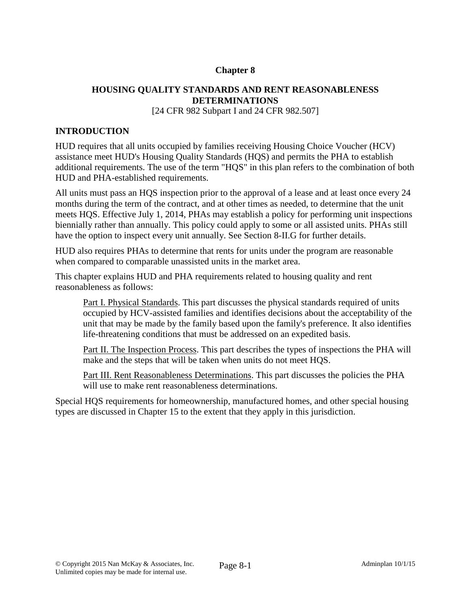# **Chapter 8**

# **HOUSING QUALITY STANDARDS AND RENT REASONABLENESS DETERMINATIONS**

[24 CFR 982 Subpart I and 24 CFR 982.507]

# **INTRODUCTION**

HUD requires that all units occupied by families receiving Housing Choice Voucher (HCV) assistance meet HUD's Housing Quality Standards (HQS) and permits the PHA to establish additional requirements. The use of the term "HQS" in this plan refers to the combination of both HUD and PHA-established requirements.

All units must pass an HQS inspection prior to the approval of a lease and at least once every 24 months during the term of the contract, and at other times as needed, to determine that the unit meets HQS. Effective July 1, 2014, PHAs may establish a policy for performing unit inspections biennially rather than annually. This policy could apply to some or all assisted units. PHAs still have the option to inspect every unit annually. See Section 8-II.G for further details.

HUD also requires PHAs to determine that rents for units under the program are reasonable when compared to comparable unassisted units in the market area.

This chapter explains HUD and PHA requirements related to housing quality and rent reasonableness as follows:

Part I. Physical Standards. This part discusses the physical standards required of units occupied by HCV-assisted families and identifies decisions about the acceptability of the unit that may be made by the family based upon the family's preference. It also identifies life-threatening conditions that must be addressed on an expedited basis.

Part II. The Inspection Process. This part describes the types of inspections the PHA will make and the steps that will be taken when units do not meet HQS.

Part III. Rent Reasonableness Determinations. This part discusses the policies the PHA will use to make rent reasonableness determinations.

Special HQS requirements for homeownership, manufactured homes, and other special housing types are discussed in Chapter 15 to the extent that they apply in this jurisdiction.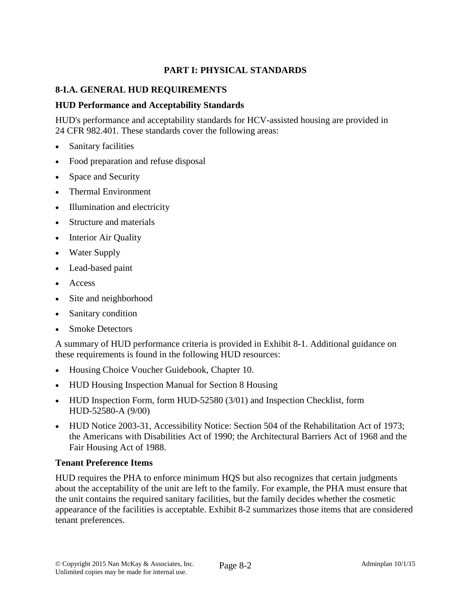# **PART I: PHYSICAL STANDARDS**

# **8-I.A. GENERAL HUD REQUIREMENTS**

# **HUD Performance and Acceptability Standards**

HUD's performance and acceptability standards for HCV-assisted housing are provided in 24 CFR 982.401. These standards cover the following areas:

- **Sanitary facilities**
- Food preparation and refuse disposal
- Space and Security
- Thermal Environment
- Illumination and electricity
- Structure and materials
- **Interior Air Quality**
- Water Supply
- Lead-based paint
- Access
- Site and neighborhood
- Sanitary condition
- **Smoke Detectors**

A summary of HUD performance criteria is provided in Exhibit 8-1. Additional guidance on these requirements is found in the following HUD resources:

- Housing Choice Voucher Guidebook, Chapter 10.
- HUD Housing Inspection Manual for Section 8 Housing
- HUD Inspection Form, form HUD-52580 (3/01) and Inspection Checklist, form HUD-52580-A (9/00)
- HUD Notice 2003-31, Accessibility Notice: Section 504 of the Rehabilitation Act of 1973; the Americans with Disabilities Act of 1990; the Architectural Barriers Act of 1968 and the Fair Housing Act of 1988.

# **Tenant Preference Items**

HUD requires the PHA to enforce minimum HQS but also recognizes that certain judgments about the acceptability of the unit are left to the family. For example, the PHA must ensure that the unit contains the required sanitary facilities, but the family decides whether the cosmetic appearance of the facilities is acceptable. Exhibit 8-2 summarizes those items that are considered tenant preferences.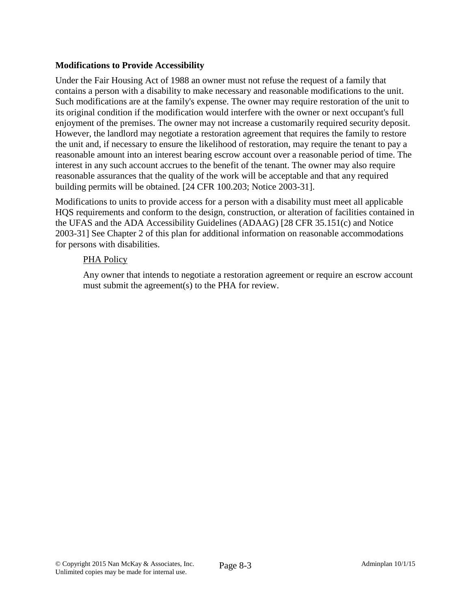# **Modifications to Provide Accessibility**

Under the Fair Housing Act of 1988 an owner must not refuse the request of a family that contains a person with a disability to make necessary and reasonable modifications to the unit. Such modifications are at the family's expense. The owner may require restoration of the unit to its original condition if the modification would interfere with the owner or next occupant's full enjoyment of the premises. The owner may not increase a customarily required security deposit. However, the landlord may negotiate a restoration agreement that requires the family to restore the unit and, if necessary to ensure the likelihood of restoration, may require the tenant to pay a reasonable amount into an interest bearing escrow account over a reasonable period of time. The interest in any such account accrues to the benefit of the tenant. The owner may also require reasonable assurances that the quality of the work will be acceptable and that any required building permits will be obtained. [24 CFR 100.203; Notice 2003-31].

Modifications to units to provide access for a person with a disability must meet all applicable HQS requirements and conform to the design, construction, or alteration of facilities contained in the UFAS and the ADA Accessibility Guidelines (ADAAG) [28 CFR 35.151(c) and Notice 2003-31] See Chapter 2 of this plan for additional information on reasonable accommodations for persons with disabilities.

# PHA Policy

Any owner that intends to negotiate a restoration agreement or require an escrow account must submit the agreement(s) to the PHA for review.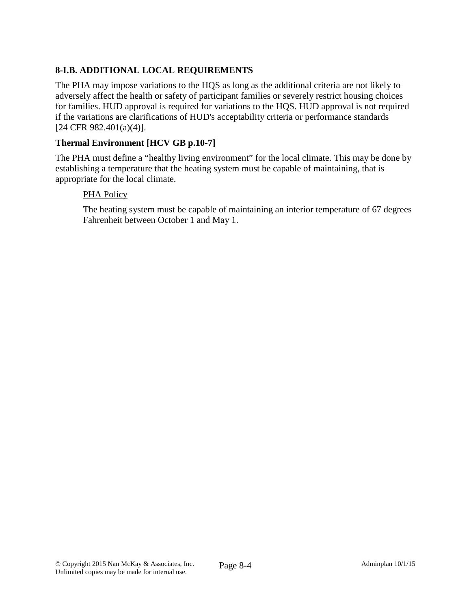# **8-I.B. ADDITIONAL LOCAL REQUIREMENTS**

The PHA may impose variations to the HQS as long as the additional criteria are not likely to adversely affect the health or safety of participant families or severely restrict housing choices for families. HUD approval is required for variations to the HQS. HUD approval is not required if the variations are clarifications of HUD's acceptability criteria or performance standards [24 CFR 982.401(a)(4)].

# **Thermal Environment [HCV GB p.10-7]**

The PHA must define a "healthy living environment" for the local climate. This may be done by establishing a temperature that the heating system must be capable of maintaining, that is appropriate for the local climate.

# PHA Policy

The heating system must be capable of maintaining an interior temperature of 67 degrees Fahrenheit between October 1 and May 1.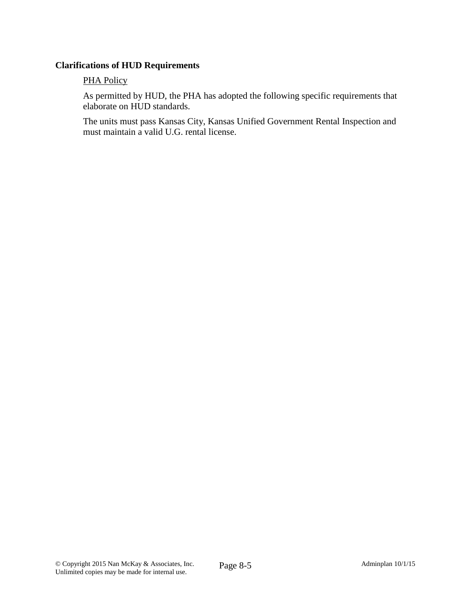# **Clarifications of HUD Requirements**

### **PHA Policy**

As permitted by HUD, the PHA has adopted the following specific requirements that elaborate on HUD standards.

The units must pass Kansas City, Kansas Unified Government Rental Inspection and must maintain a valid U.G. rental license.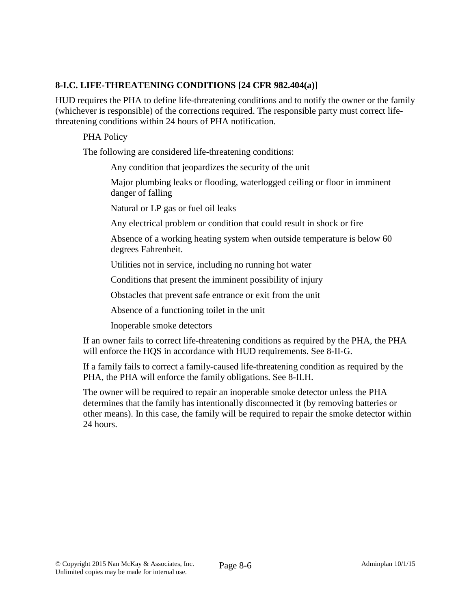# **8-I.C. LIFE-THREATENING CONDITIONS [24 CFR 982.404(a)]**

HUD requires the PHA to define life-threatening conditions and to notify the owner or the family (whichever is responsible) of the corrections required. The responsible party must correct lifethreatening conditions within 24 hours of PHA notification.

# PHA Policy

The following are considered life-threatening conditions:

Any condition that jeopardizes the security of the unit

Major plumbing leaks or flooding, waterlogged ceiling or floor in imminent danger of falling

Natural or LP gas or fuel oil leaks

Any electrical problem or condition that could result in shock or fire

Absence of a working heating system when outside temperature is below 60 degrees Fahrenheit.

Utilities not in service, including no running hot water

Conditions that present the imminent possibility of injury

Obstacles that prevent safe entrance or exit from the unit

Absence of a functioning toilet in the unit

Inoperable smoke detectors

If an owner fails to correct life-threatening conditions as required by the PHA, the PHA will enforce the HQS in accordance with HUD requirements. See 8-II-G.

If a family fails to correct a family-caused life-threatening condition as required by the PHA, the PHA will enforce the family obligations. See 8-II.H.

The owner will be required to repair an inoperable smoke detector unless the PHA determines that the family has intentionally disconnected it (by removing batteries or other means). In this case, the family will be required to repair the smoke detector within 24 hours.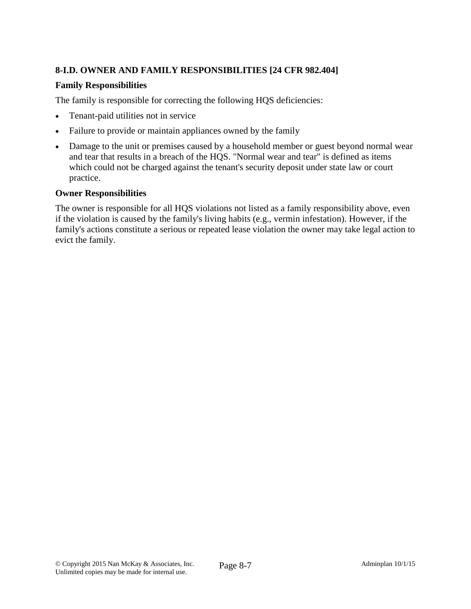# **8-I.D. OWNER AND FAMILY RESPONSIBILITIES [24 CFR 982.404]**

# **Family Responsibilities**

The family is responsible for correcting the following HQS deficiencies:

- Tenant-paid utilities not in service
- Failure to provide or maintain appliances owned by the family
- Damage to the unit or premises caused by a household member or guest beyond normal wear and tear that results in a breach of the HQS. "Normal wear and tear" is defined as items which could not be charged against the tenant's security deposit under state law or court practice.

# **Owner Responsibilities**

The owner is responsible for all HQS violations not listed as a family responsibility above, even if the violation is caused by the family's living habits (e.g., vermin infestation). However, if the family's actions constitute a serious or repeated lease violation the owner may take legal action to evict the family.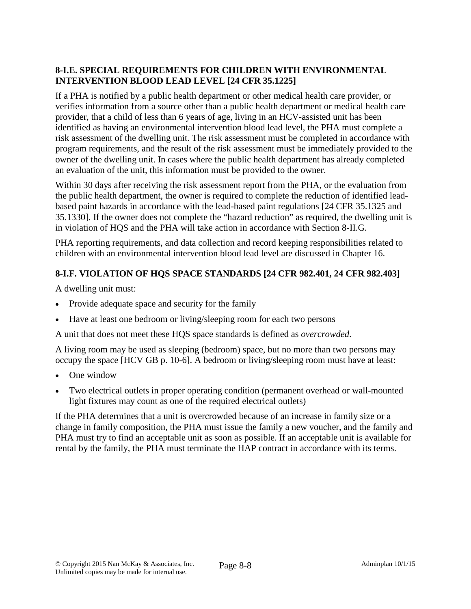# **8-I.E. SPECIAL REQUIREMENTS FOR CHILDREN WITH ENVIRONMENTAL INTERVENTION BLOOD LEAD LEVEL [24 CFR 35.1225]**

If a PHA is notified by a public health department or other medical health care provider, or verifies information from a source other than a public health department or medical health care provider, that a child of less than 6 years of age, living in an HCV-assisted unit has been identified as having an environmental intervention blood lead level, the PHA must complete a risk assessment of the dwelling unit. The risk assessment must be completed in accordance with program requirements, and the result of the risk assessment must be immediately provided to the owner of the dwelling unit. In cases where the public health department has already completed an evaluation of the unit, this information must be provided to the owner.

Within 30 days after receiving the risk assessment report from the PHA, or the evaluation from the public health department, the owner is required to complete the reduction of identified leadbased paint hazards in accordance with the lead-based paint regulations [24 CFR 35.1325 and 35.1330]. If the owner does not complete the "hazard reduction" as required, the dwelling unit is in violation of HQS and the PHA will take action in accordance with Section 8-II.G.

PHA reporting requirements, and data collection and record keeping responsibilities related to children with an environmental intervention blood lead level are discussed in Chapter 16.

# **8-I.F. VIOLATION OF HQS SPACE STANDARDS [24 CFR 982.401, 24 CFR 982.403]**

A dwelling unit must:

- Provide adequate space and security for the family
- Have at least one bedroom or living/sleeping room for each two persons

A unit that does not meet these HQS space standards is defined as *overcrowded*.

A living room may be used as sleeping (bedroom) space, but no more than two persons may occupy the space [HCV GB p. 10-6]. A bedroom or living/sleeping room must have at least:

- One window
- Two electrical outlets in proper operating condition (permanent overhead or wall-mounted light fixtures may count as one of the required electrical outlets)

If the PHA determines that a unit is overcrowded because of an increase in family size or a change in family composition, the PHA must issue the family a new voucher, and the family and PHA must try to find an acceptable unit as soon as possible. If an acceptable unit is available for rental by the family, the PHA must terminate the HAP contract in accordance with its terms.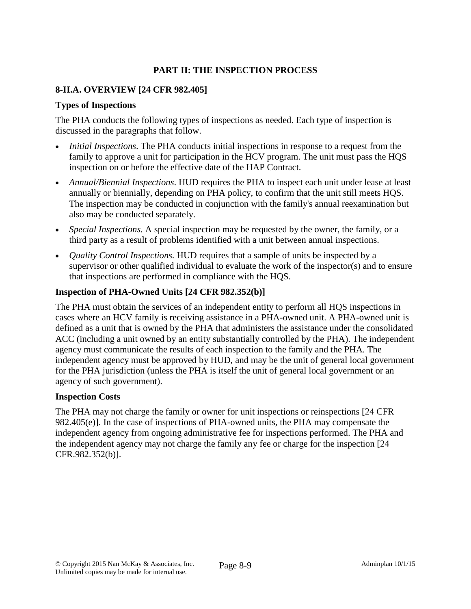# **PART II: THE INSPECTION PROCESS**

# **8-II.A. OVERVIEW [24 CFR 982.405]**

# **Types of Inspections**

The PHA conducts the following types of inspections as needed. Each type of inspection is discussed in the paragraphs that follow.

- *Initial Inspections*. The PHA conducts initial inspections in response to a request from the family to approve a unit for participation in the HCV program. The unit must pass the HQS inspection on or before the effective date of the HAP Contract.
- *Annual/Biennial Inspections*. HUD requires the PHA to inspect each unit under lease at least annually or biennially, depending on PHA policy, to confirm that the unit still meets HQS. The inspection may be conducted in conjunction with the family's annual reexamination but also may be conducted separately.
- *Special Inspections.* A special inspection may be requested by the owner, the family, or a third party as a result of problems identified with a unit between annual inspections.
- *Quality Control Inspections.* HUD requires that a sample of units be inspected by a supervisor or other qualified individual to evaluate the work of the inspector(s) and to ensure that inspections are performed in compliance with the HQS.

# **Inspection of PHA-Owned Units [24 CFR 982.352(b)]**

The PHA must obtain the services of an independent entity to perform all HQS inspections in cases where an HCV family is receiving assistance in a PHA-owned unit. A PHA-owned unit is defined as a unit that is owned by the PHA that administers the assistance under the consolidated ACC (including a unit owned by an entity substantially controlled by the PHA). The independent agency must communicate the results of each inspection to the family and the PHA. The independent agency must be approved by HUD, and may be the unit of general local government for the PHA jurisdiction (unless the PHA is itself the unit of general local government or an agency of such government).

# **Inspection Costs**

The PHA may not charge the family or owner for unit inspections or reinspections [24 CFR 982.405(e)]. In the case of inspections of PHA-owned units, the PHA may compensate the independent agency from ongoing administrative fee for inspections performed. The PHA and the independent agency may not charge the family any fee or charge for the inspection [24 CFR.982.352(b)].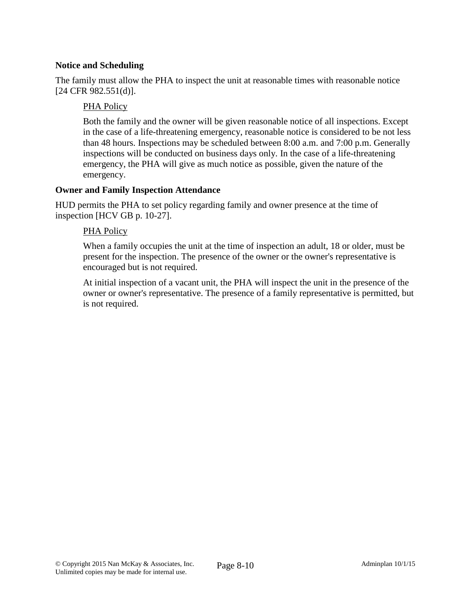# **Notice and Scheduling**

The family must allow the PHA to inspect the unit at reasonable times with reasonable notice [24 CFR 982.551(d)].

# PHA Policy

Both the family and the owner will be given reasonable notice of all inspections. Except in the case of a life-threatening emergency, reasonable notice is considered to be not less than 48 hours. Inspections may be scheduled between 8:00 a.m. and 7:00 p.m. Generally inspections will be conducted on business days only. In the case of a life-threatening emergency, the PHA will give as much notice as possible, given the nature of the emergency.

# **Owner and Family Inspection Attendance**

HUD permits the PHA to set policy regarding family and owner presence at the time of inspection [HCV GB p. 10-27].

# PHA Policy

When a family occupies the unit at the time of inspection an adult, 18 or older, must be present for the inspection. The presence of the owner or the owner's representative is encouraged but is not required.

At initial inspection of a vacant unit, the PHA will inspect the unit in the presence of the owner or owner's representative. The presence of a family representative is permitted, but is not required.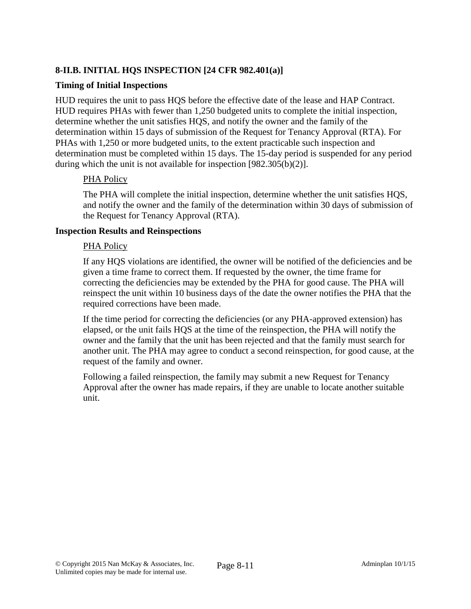# **8-II.B. INITIAL HQS INSPECTION [24 CFR 982.401(a)]**

### **Timing of Initial Inspections**

HUD requires the unit to pass HQS before the effective date of the lease and HAP Contract. HUD requires PHAs with fewer than 1,250 budgeted units to complete the initial inspection, determine whether the unit satisfies HQS, and notify the owner and the family of the determination within 15 days of submission of the Request for Tenancy Approval (RTA). For PHAs with 1,250 or more budgeted units, to the extent practicable such inspection and determination must be completed within 15 days. The 15-day period is suspended for any period during which the unit is not available for inspection [982.305(b)(2)].

### PHA Policy

The PHA will complete the initial inspection, determine whether the unit satisfies HQS, and notify the owner and the family of the determination within 30 days of submission of the Request for Tenancy Approval (RTA).

### **Inspection Results and Reinspections**

### PHA Policy

If any HQS violations are identified, the owner will be notified of the deficiencies and be given a time frame to correct them. If requested by the owner, the time frame for correcting the deficiencies may be extended by the PHA for good cause. The PHA will reinspect the unit within 10 business days of the date the owner notifies the PHA that the required corrections have been made.

If the time period for correcting the deficiencies (or any PHA-approved extension) has elapsed, or the unit fails HQS at the time of the reinspection, the PHA will notify the owner and the family that the unit has been rejected and that the family must search for another unit. The PHA may agree to conduct a second reinspection, for good cause, at the request of the family and owner.

Following a failed reinspection, the family may submit a new Request for Tenancy Approval after the owner has made repairs, if they are unable to locate another suitable unit.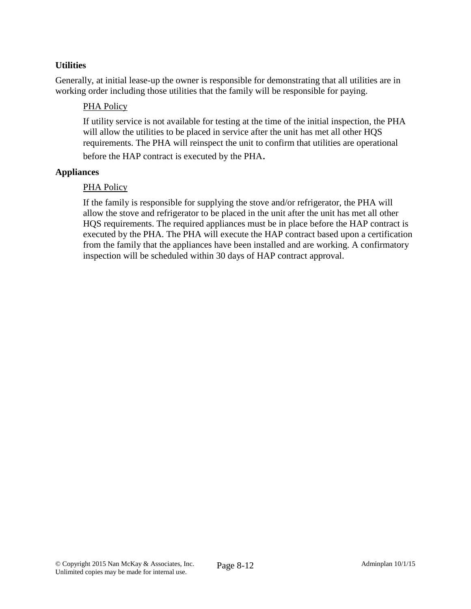# **Utilities**

Generally, at initial lease-up the owner is responsible for demonstrating that all utilities are in working order including those utilities that the family will be responsible for paying.

# PHA Policy

If utility service is not available for testing at the time of the initial inspection, the PHA will allow the utilities to be placed in service after the unit has met all other HQS requirements. The PHA will reinspect the unit to confirm that utilities are operational before the HAP contract is executed by the PHA.

# **Appliances**

### PHA Policy

If the family is responsible for supplying the stove and/or refrigerator, the PHA will allow the stove and refrigerator to be placed in the unit after the unit has met all other HQS requirements. The required appliances must be in place before the HAP contract is executed by the PHA. The PHA will execute the HAP contract based upon a certification from the family that the appliances have been installed and are working. A confirmatory inspection will be scheduled within 30 days of HAP contract approval.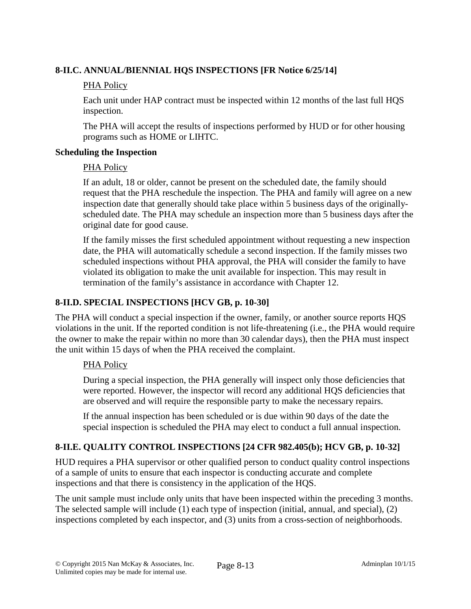# **8-II.C. ANNUAL/BIENNIAL HQS INSPECTIONS [FR Notice 6/25/14]**

# PHA Policy

Each unit under HAP contract must be inspected within 12 months of the last full HQS inspection.

The PHA will accept the results of inspections performed by HUD or for other housing programs such as HOME or LIHTC.

# **Scheduling the Inspection**

# PHA Policy

If an adult, 18 or older, cannot be present on the scheduled date, the family should request that the PHA reschedule the inspection. The PHA and family will agree on a new inspection date that generally should take place within 5 business days of the originallyscheduled date. The PHA may schedule an inspection more than 5 business days after the original date for good cause.

If the family misses the first scheduled appointment without requesting a new inspection date, the PHA will automatically schedule a second inspection. If the family misses two scheduled inspections without PHA approval, the PHA will consider the family to have violated its obligation to make the unit available for inspection. This may result in termination of the family's assistance in accordance with Chapter 12.

# **8-II.D. SPECIAL INSPECTIONS [HCV GB, p. 10-30]**

The PHA will conduct a special inspection if the owner, family, or another source reports HQS violations in the unit. If the reported condition is not life-threatening (i.e., the PHA would require the owner to make the repair within no more than 30 calendar days), then the PHA must inspect the unit within 15 days of when the PHA received the complaint.

# PHA Policy

During a special inspection, the PHA generally will inspect only those deficiencies that were reported. However, the inspector will record any additional HQS deficiencies that are observed and will require the responsible party to make the necessary repairs.

If the annual inspection has been scheduled or is due within 90 days of the date the special inspection is scheduled the PHA may elect to conduct a full annual inspection.

# **8-II.E. QUALITY CONTROL INSPECTIONS [24 CFR 982.405(b); HCV GB, p. 10-32]**

HUD requires a PHA supervisor or other qualified person to conduct quality control inspections of a sample of units to ensure that each inspector is conducting accurate and complete inspections and that there is consistency in the application of the HQS.

The unit sample must include only units that have been inspected within the preceding 3 months. The selected sample will include (1) each type of inspection (initial, annual, and special), (2) inspections completed by each inspector, and (3) units from a cross-section of neighborhoods.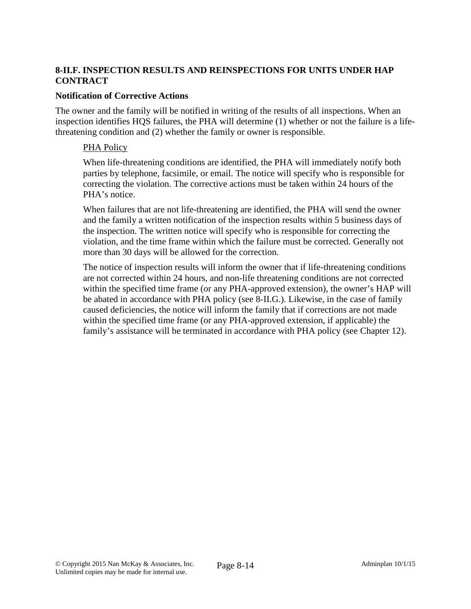# **8-II.F. INSPECTION RESULTS AND REINSPECTIONS FOR UNITS UNDER HAP CONTRACT**

### **Notification of Corrective Actions**

The owner and the family will be notified in writing of the results of all inspections. When an inspection identifies HQS failures, the PHA will determine (1) whether or not the failure is a lifethreatening condition and (2) whether the family or owner is responsible.

### PHA Policy

When life-threatening conditions are identified, the PHA will immediately notify both parties by telephone, facsimile, or email. The notice will specify who is responsible for correcting the violation. The corrective actions must be taken within 24 hours of the PHA's notice.

When failures that are not life-threatening are identified, the PHA will send the owner and the family a written notification of the inspection results within 5 business days of the inspection. The written notice will specify who is responsible for correcting the violation, and the time frame within which the failure must be corrected. Generally not more than 30 days will be allowed for the correction.

The notice of inspection results will inform the owner that if life-threatening conditions are not corrected within 24 hours, and non-life threatening conditions are not corrected within the specified time frame (or any PHA-approved extension), the owner's HAP will be abated in accordance with PHA policy (see 8-II.G.). Likewise, in the case of family caused deficiencies, the notice will inform the family that if corrections are not made within the specified time frame (or any PHA-approved extension, if applicable) the family's assistance will be terminated in accordance with PHA policy (see Chapter 12).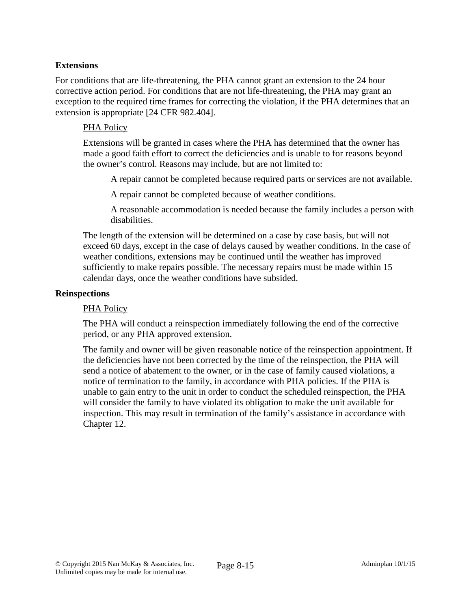# **Extensions**

For conditions that are life-threatening, the PHA cannot grant an extension to the 24 hour corrective action period. For conditions that are not life-threatening, the PHA may grant an exception to the required time frames for correcting the violation, if the PHA determines that an extension is appropriate [24 CFR 982.404].

### PHA Policy

Extensions will be granted in cases where the PHA has determined that the owner has made a good faith effort to correct the deficiencies and is unable to for reasons beyond the owner's control. Reasons may include, but are not limited to:

A repair cannot be completed because required parts or services are not available.

A repair cannot be completed because of weather conditions.

A reasonable accommodation is needed because the family includes a person with disabilities.

The length of the extension will be determined on a case by case basis, but will not exceed 60 days, except in the case of delays caused by weather conditions. In the case of weather conditions, extensions may be continued until the weather has improved sufficiently to make repairs possible. The necessary repairs must be made within 15 calendar days, once the weather conditions have subsided.

#### **Reinspections**

#### PHA Policy

The PHA will conduct a reinspection immediately following the end of the corrective period, or any PHA approved extension.

The family and owner will be given reasonable notice of the reinspection appointment. If the deficiencies have not been corrected by the time of the reinspection, the PHA will send a notice of abatement to the owner, or in the case of family caused violations, a notice of termination to the family, in accordance with PHA policies. If the PHA is unable to gain entry to the unit in order to conduct the scheduled reinspection, the PHA will consider the family to have violated its obligation to make the unit available for inspection. This may result in termination of the family's assistance in accordance with Chapter 12.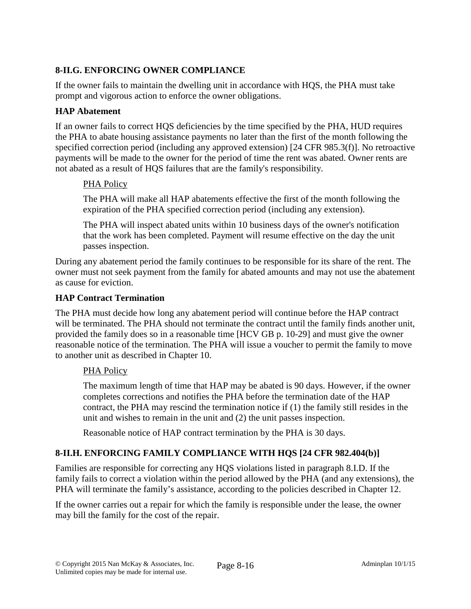# **8-II.G. ENFORCING OWNER COMPLIANCE**

If the owner fails to maintain the dwelling unit in accordance with HQS, the PHA must take prompt and vigorous action to enforce the owner obligations.

# **HAP Abatement**

If an owner fails to correct HQS deficiencies by the time specified by the PHA, HUD requires the PHA to abate housing assistance payments no later than the first of the month following the specified correction period (including any approved extension) [24 CFR 985.3(f)]. No retroactive payments will be made to the owner for the period of time the rent was abated. Owner rents are not abated as a result of HQS failures that are the family's responsibility.

# PHA Policy

The PHA will make all HAP abatements effective the first of the month following the expiration of the PHA specified correction period (including any extension).

The PHA will inspect abated units within 10 business days of the owner's notification that the work has been completed. Payment will resume effective on the day the unit passes inspection.

During any abatement period the family continues to be responsible for its share of the rent. The owner must not seek payment from the family for abated amounts and may not use the abatement as cause for eviction.

# **HAP Contract Termination**

The PHA must decide how long any abatement period will continue before the HAP contract will be terminated. The PHA should not terminate the contract until the family finds another unit, provided the family does so in a reasonable time [HCV GB p. 10-29] and must give the owner reasonable notice of the termination. The PHA will issue a voucher to permit the family to move to another unit as described in Chapter 10.

# PHA Policy

The maximum length of time that HAP may be abated is 90 days. However, if the owner completes corrections and notifies the PHA before the termination date of the HAP contract, the PHA may rescind the termination notice if (1) the family still resides in the unit and wishes to remain in the unit and (2) the unit passes inspection.

Reasonable notice of HAP contract termination by the PHA is 30 days.

# **8-II.H. ENFORCING FAMILY COMPLIANCE WITH HQS [24 CFR 982.404(b)]**

Families are responsible for correcting any HQS violations listed in paragraph 8.I.D. If the family fails to correct a violation within the period allowed by the PHA (and any extensions), the PHA will terminate the family's assistance, according to the policies described in Chapter 12.

If the owner carries out a repair for which the family is responsible under the lease, the owner may bill the family for the cost of the repair.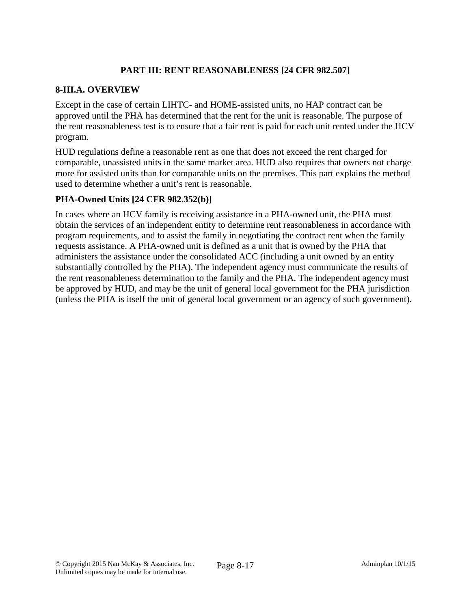# **PART III: RENT REASONABLENESS [24 CFR 982.507]**

# **8-III.A. OVERVIEW**

Except in the case of certain LIHTC- and HOME-assisted units, no HAP contract can be approved until the PHA has determined that the rent for the unit is reasonable. The purpose of the rent reasonableness test is to ensure that a fair rent is paid for each unit rented under the HCV program.

HUD regulations define a reasonable rent as one that does not exceed the rent charged for comparable, unassisted units in the same market area. HUD also requires that owners not charge more for assisted units than for comparable units on the premises. This part explains the method used to determine whether a unit's rent is reasonable.

# **PHA-Owned Units [24 CFR 982.352(b)]**

In cases where an HCV family is receiving assistance in a PHA-owned unit, the PHA must obtain the services of an independent entity to determine rent reasonableness in accordance with program requirements, and to assist the family in negotiating the contract rent when the family requests assistance. A PHA-owned unit is defined as a unit that is owned by the PHA that administers the assistance under the consolidated ACC (including a unit owned by an entity substantially controlled by the PHA). The independent agency must communicate the results of the rent reasonableness determination to the family and the PHA. The independent agency must be approved by HUD, and may be the unit of general local government for the PHA jurisdiction (unless the PHA is itself the unit of general local government or an agency of such government).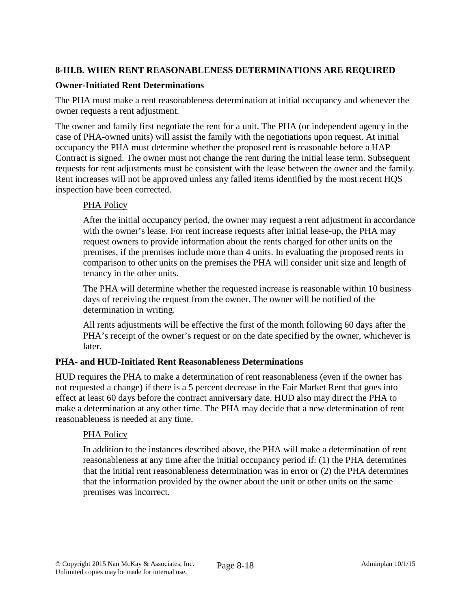# **8-III.B. WHEN RENT REASONABLENESS DETERMINATIONS ARE REQUIRED**

### **Owner-Initiated Rent Determinations**

The PHA must make a rent reasonableness determination at initial occupancy and whenever the owner requests a rent adjustment.

The owner and family first negotiate the rent for a unit. The PHA (or independent agency in the case of PHA-owned units) will assist the family with the negotiations upon request. At initial occupancy the PHA must determine whether the proposed rent is reasonable before a HAP Contract is signed. The owner must not change the rent during the initial lease term. Subsequent requests for rent adjustments must be consistent with the lease between the owner and the family. Rent increases will not be approved unless any failed items identified by the most recent HQS inspection have been corrected.

# PHA Policy

After the initial occupancy period, the owner may request a rent adjustment in accordance with the owner's lease. For rent increase requests after initial lease-up, the PHA may request owners to provide information about the rents charged for other units on the premises, if the premises include more than 4 units. In evaluating the proposed rents in comparison to other units on the premises the PHA will consider unit size and length of tenancy in the other units.

The PHA will determine whether the requested increase is reasonable within 10 business days of receiving the request from the owner. The owner will be notified of the determination in writing.

All rents adjustments will be effective the first of the month following 60 days after the PHA's receipt of the owner's request or on the date specified by the owner, whichever is later.

# **PHA- and HUD-Initiated Rent Reasonableness Determinations**

HUD requires the PHA to make a determination of rent reasonableness (even if the owner has not requested a change) if there is a 5 percent decrease in the Fair Market Rent that goes into effect at least 60 days before the contract anniversary date. HUD also may direct the PHA to make a determination at any other time. The PHA may decide that a new determination of rent reasonableness is needed at any time.

# PHA Policy

In addition to the instances described above, the PHA will make a determination of rent reasonableness at any time after the initial occupancy period if: (1) the PHA determines that the initial rent reasonableness determination was in error or (2) the PHA determines that the information provided by the owner about the unit or other units on the same premises was incorrect.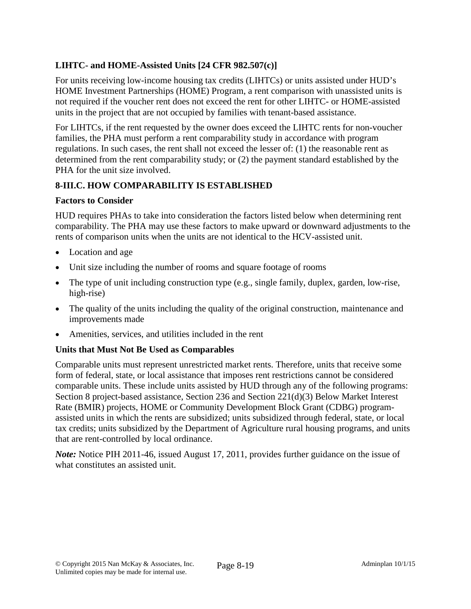# **LIHTC- and HOME-Assisted Units [24 CFR 982.507(c)]**

For units receiving low-income housing tax credits (LIHTCs) or units assisted under HUD's HOME Investment Partnerships (HOME) Program, a rent comparison with unassisted units is not required if the voucher rent does not exceed the rent for other LIHTC- or HOME-assisted units in the project that are not occupied by families with tenant-based assistance.

For LIHTCs, if the rent requested by the owner does exceed the LIHTC rents for non-voucher families, the PHA must perform a rent comparability study in accordance with program regulations. In such cases, the rent shall not exceed the lesser of: (1) the reasonable rent as determined from the rent comparability study; or (2) the payment standard established by the PHA for the unit size involved.

# **8-III.C. HOW COMPARABILITY IS ESTABLISHED**

# **Factors to Consider**

HUD requires PHAs to take into consideration the factors listed below when determining rent comparability. The PHA may use these factors to make upward or downward adjustments to the rents of comparison units when the units are not identical to the HCV-assisted unit.

- Location and age
- Unit size including the number of rooms and square footage of rooms
- The type of unit including construction type (e.g., single family, duplex, garden, low-rise, high-rise)
- The quality of the units including the quality of the original construction, maintenance and improvements made
- Amenities, services, and utilities included in the rent

# **Units that Must Not Be Used as Comparables**

Comparable units must represent unrestricted market rents. Therefore, units that receive some form of federal, state, or local assistance that imposes rent restrictions cannot be considered comparable units. These include units assisted by HUD through any of the following programs: Section 8 project-based assistance, Section 236 and Section 221(d)(3) Below Market Interest Rate (BMIR) projects, HOME or Community Development Block Grant (CDBG) programassisted units in which the rents are subsidized; units subsidized through federal, state, or local tax credits; units subsidized by the Department of Agriculture rural housing programs, and units that are rent-controlled by local ordinance.

*Note:* Notice PIH 2011-46, issued August 17, 2011, provides further guidance on the issue of what constitutes an assisted unit.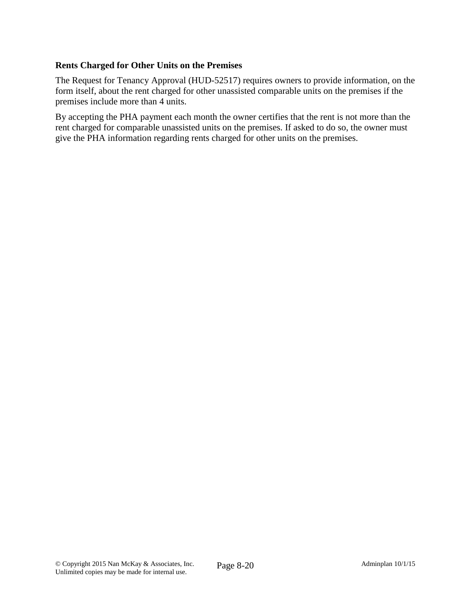# **Rents Charged for Other Units on the Premises**

The Request for Tenancy Approval (HUD-52517) requires owners to provide information, on the form itself, about the rent charged for other unassisted comparable units on the premises if the premises include more than 4 units.

By accepting the PHA payment each month the owner certifies that the rent is not more than the rent charged for comparable unassisted units on the premises. If asked to do so, the owner must give the PHA information regarding rents charged for other units on the premises.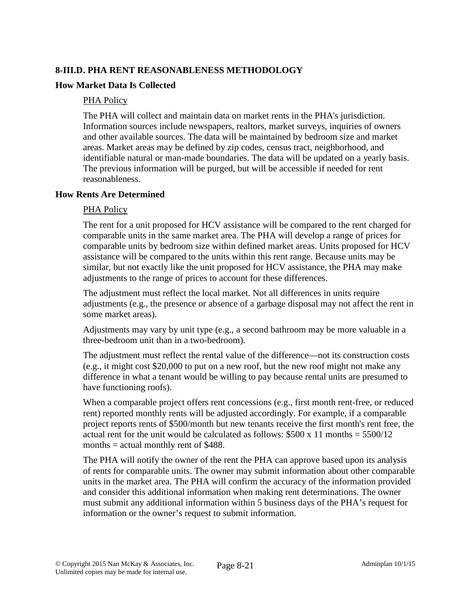# **8-III.D. PHA RENT REASONABLENESS METHODOLOGY**

### **How Market Data Is Collected**

#### PHA Policy

The PHA will collect and maintain data on market rents in the PHA's jurisdiction. Information sources include newspapers, realtors, market surveys, inquiries of owners and other available sources. The data will be maintained by bedroom size and market areas. Market areas may be defined by zip codes, census tract, neighborhood, and identifiable natural or man-made boundaries. The data will be updated on a yearly basis. The previous information will be purged, but will be accessible if needed for rent reasonableness.

### **How Rents Are Determined**

### PHA Policy

The rent for a unit proposed for HCV assistance will be compared to the rent charged for comparable units in the same market area. The PHA will develop a range of prices for comparable units by bedroom size within defined market areas. Units proposed for HCV assistance will be compared to the units within this rent range. Because units may be similar, but not exactly like the unit proposed for HCV assistance, the PHA may make adjustments to the range of prices to account for these differences.

The adjustment must reflect the local market. Not all differences in units require adjustments (e.g., the presence or absence of a garbage disposal may not affect the rent in some market areas).

Adjustments may vary by unit type (e.g., a second bathroom may be more valuable in a three-bedroom unit than in a two-bedroom).

The adjustment must reflect the rental value of the difference—not its construction costs (e.g., it might cost \$20,000 to put on a new roof, but the new roof might not make any difference in what a tenant would be willing to pay because rental units are presumed to have functioning roofs).

When a comparable project offers rent concessions (e.g., first month rent-free, or reduced rent) reported monthly rents will be adjusted accordingly. For example, if a comparable project reports rents of \$500/month but new tenants receive the first month's rent free, the actual rent for the unit would be calculated as follows:  $$500 \times 11$  months =  $5500/12$ months  $=$  actual monthly rent of \$488.

The PHA will notify the owner of the rent the PHA can approve based upon its analysis of rents for comparable units. The owner may submit information about other comparable units in the market area. The PHA will confirm the accuracy of the information provided and consider this additional information when making rent determinations. The owner must submit any additional information within 5 business days of the PHA's request for information or the owner's request to submit information.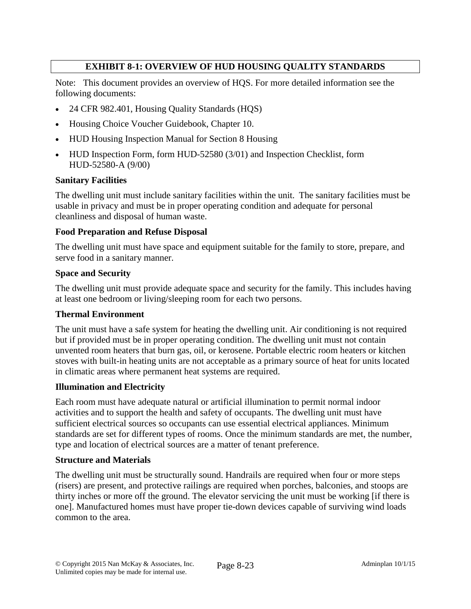# **EXHIBIT 8-1: OVERVIEW OF HUD HOUSING QUALITY STANDARDS**

Note: This document provides an overview of HQS. For more detailed information see the following documents:

- 24 CFR 982.401, Housing Quality Standards (HQS)
- Housing Choice Voucher Guidebook, Chapter 10.
- HUD Housing Inspection Manual for Section 8 Housing
- HUD Inspection Form, form HUD-52580 (3/01) and Inspection Checklist, form HUD-52580-A (9/00)

#### **Sanitary Facilities**

The dwelling unit must include sanitary facilities within the unit. The sanitary facilities must be usable in privacy and must be in proper operating condition and adequate for personal cleanliness and disposal of human waste.

#### **Food Preparation and Refuse Disposal**

The dwelling unit must have space and equipment suitable for the family to store, prepare, and serve food in a sanitary manner.

#### **Space and Security**

The dwelling unit must provide adequate space and security for the family. This includes having at least one bedroom or living/sleeping room for each two persons.

#### **Thermal Environment**

The unit must have a safe system for heating the dwelling unit. Air conditioning is not required but if provided must be in proper operating condition. The dwelling unit must not contain unvented room heaters that burn gas, oil, or kerosene. Portable electric room heaters or kitchen stoves with built-in heating units are not acceptable as a primary source of heat for units located in climatic areas where permanent heat systems are required.

#### **Illumination and Electricity**

Each room must have adequate natural or artificial illumination to permit normal indoor activities and to support the health and safety of occupants. The dwelling unit must have sufficient electrical sources so occupants can use essential electrical appliances. Minimum standards are set for different types of rooms. Once the minimum standards are met, the number, type and location of electrical sources are a matter of tenant preference.

#### **Structure and Materials**

The dwelling unit must be structurally sound. Handrails are required when four or more steps (risers) are present, and protective railings are required when porches, balconies, and stoops are thirty inches or more off the ground. The elevator servicing the unit must be working [if there is one]. Manufactured homes must have proper tie-down devices capable of surviving wind loads common to the area.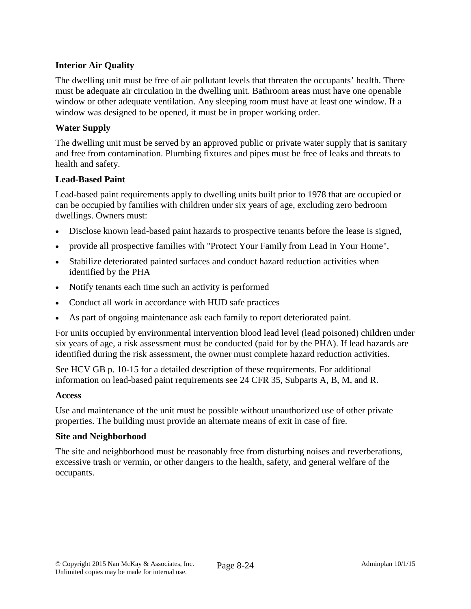# **Interior Air Quality**

The dwelling unit must be free of air pollutant levels that threaten the occupants' health. There must be adequate air circulation in the dwelling unit. Bathroom areas must have one openable window or other adequate ventilation. Any sleeping room must have at least one window. If a window was designed to be opened, it must be in proper working order.

### **Water Supply**

The dwelling unit must be served by an approved public or private water supply that is sanitary and free from contamination. Plumbing fixtures and pipes must be free of leaks and threats to health and safety.

### **Lead-Based Paint**

Lead-based paint requirements apply to dwelling units built prior to 1978 that are occupied or can be occupied by families with children under six years of age, excluding zero bedroom dwellings. Owners must:

- Disclose known lead-based paint hazards to prospective tenants before the lease is signed,
- provide all prospective families with "Protect Your Family from Lead in Your Home",
- Stabilize deteriorated painted surfaces and conduct hazard reduction activities when identified by the PHA
- Notify tenants each time such an activity is performed
- Conduct all work in accordance with HUD safe practices
- As part of ongoing maintenance ask each family to report deteriorated paint.

For units occupied by environmental intervention blood lead level (lead poisoned) children under six years of age, a risk assessment must be conducted (paid for by the PHA). If lead hazards are identified during the risk assessment, the owner must complete hazard reduction activities.

See HCV GB p. 10-15 for a detailed description of these requirements. For additional information on lead-based paint requirements see 24 CFR 35, Subparts A, B, M, and R.

#### **Access**

Use and maintenance of the unit must be possible without unauthorized use of other private properties. The building must provide an alternate means of exit in case of fire.

#### **Site and Neighborhood**

The site and neighborhood must be reasonably free from disturbing noises and reverberations, excessive trash or vermin, or other dangers to the health, safety, and general welfare of the occupants.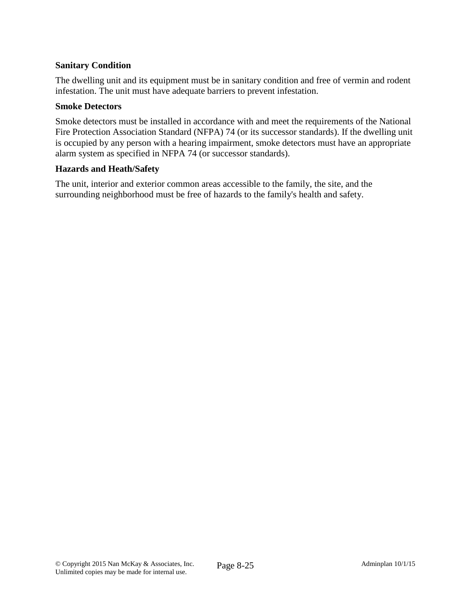# **Sanitary Condition**

The dwelling unit and its equipment must be in sanitary condition and free of vermin and rodent infestation. The unit must have adequate barriers to prevent infestation.

#### **Smoke Detectors**

Smoke detectors must be installed in accordance with and meet the requirements of the National Fire Protection Association Standard (NFPA) 74 (or its successor standards). If the dwelling unit is occupied by any person with a hearing impairment, smoke detectors must have an appropriate alarm system as specified in NFPA 74 (or successor standards).

### **Hazards and Heath/Safety**

The unit, interior and exterior common areas accessible to the family, the site, and the surrounding neighborhood must be free of hazards to the family's health and safety.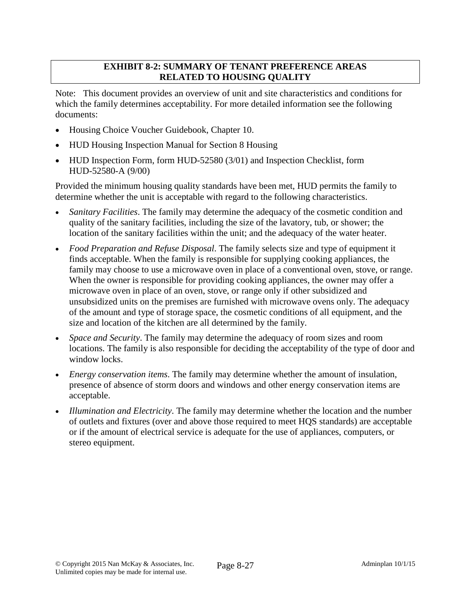# **EXHIBIT 8-2: SUMMARY OF TENANT PREFERENCE AREAS RELATED TO HOUSING QUALITY**

Note: This document provides an overview of unit and site characteristics and conditions for which the family determines acceptability. For more detailed information see the following documents:

- Housing Choice Voucher Guidebook, Chapter 10.
- HUD Housing Inspection Manual for Section 8 Housing
- HUD Inspection Form, form HUD-52580 (3/01) and Inspection Checklist, form HUD-52580-A (9/00)

Provided the minimum housing quality standards have been met, HUD permits the family to determine whether the unit is acceptable with regard to the following characteristics.

- *Sanitary Facilities*. The family may determine the adequacy of the cosmetic condition and quality of the sanitary facilities, including the size of the lavatory, tub, or shower; the location of the sanitary facilities within the unit; and the adequacy of the water heater.
- *Food Preparation and Refuse Disposal*. The family selects size and type of equipment it finds acceptable. When the family is responsible for supplying cooking appliances, the family may choose to use a microwave oven in place of a conventional oven, stove, or range. When the owner is responsible for providing cooking appliances, the owner may offer a microwave oven in place of an oven, stove, or range only if other subsidized and unsubsidized units on the premises are furnished with microwave ovens only. The adequacy of the amount and type of storage space, the cosmetic conditions of all equipment, and the size and location of the kitchen are all determined by the family.
- *Space and Security*. The family may determine the adequacy of room sizes and room locations. The family is also responsible for deciding the acceptability of the type of door and window locks.
- *Energy conservation items*. The family may determine whether the amount of insulation, presence of absence of storm doors and windows and other energy conservation items are acceptable.
- *Illumination and Electricity*. The family may determine whether the location and the number of outlets and fixtures (over and above those required to meet HQS standards) are acceptable or if the amount of electrical service is adequate for the use of appliances, computers, or stereo equipment.